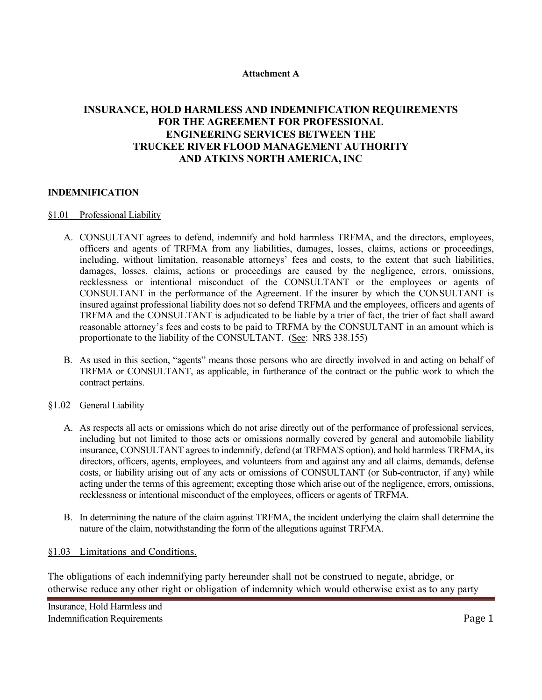#### **Attachment A**

# **INSURANCE, HOLD HARMLESS AND INDEMNIFICATION REQUIREMENTS FOR THE AGREEMENT FOR PROFESSIONAL ENGINEERING SERVICES BETWEEN THE TRUCKEE RIVER FLOOD MANAGEMENT AUTHORITY AND ATKINS NORTH AMERICA, INC**

## **INDEMNIFICATION**

#### §1.01 Professional Liability

- A. CONSULTANT agrees to defend, indemnify and hold harmless TRFMA, and the directors, employees, officers and agents of TRFMA from any liabilities, damages, losses, claims, actions or proceedings, including, without limitation, reasonable attorneys' fees and costs, to the extent that such liabilities, damages, losses, claims, actions or proceedings are caused by the negligence, errors, omissions, recklessness or intentional misconduct of the CONSULTANT or the employees or agents of CONSULTANT in the performance of the Agreement. If the insurer by which the CONSULTANT is insured against professional liability does not so defend TRFMA and the employees, officers and agents of TRFMA and the CONSULTANT is adjudicated to be liable by a trier of fact, the trier of fact shall award reasonable attorney's fees and costs to be paid to TRFMA by the CONSULTANT in an amount which is proportionate to the liability of the CONSULTANT. (See: NRS 338.155)
- B. As used in this section, "agents" means those persons who are directly involved in and acting on behalf of TRFMA or CONSULTANT, as applicable, in furtherance of the contract or the public work to which the contract pertains.

## §1.02 General Liability

- A. As respects all acts or omissions which do not arise directly out of the performance of professional services, including but not limited to those acts or omissions normally covered by general and automobile liability insurance, CONSULTANT agrees to indemnify, defend (at TRFMA'S option), and hold harmless TRFMA, its directors, officers, agents, employees, and volunteers from and against any and all claims, demands, defense costs, or liability arising out of any acts or omissions of CONSULTANT (or Sub-contractor, if any) while acting under the terms of this agreement; excepting those which arise out of the negligence, errors, omissions, recklessness or intentional misconduct of the employees, officers or agents of TRFMA.
- B. In determining the nature of the claim against TRFMA, the incident underlying the claim shall determine the nature of the claim, notwithstanding the form of the allegations against TRFMA.

## §1.03 Limitations and Conditions.

The obligations of each indemnifying party hereunder shall not be construed to negate, abridge, or otherwise reduce any other right or obligation of indemnity which would otherwise exist as to any party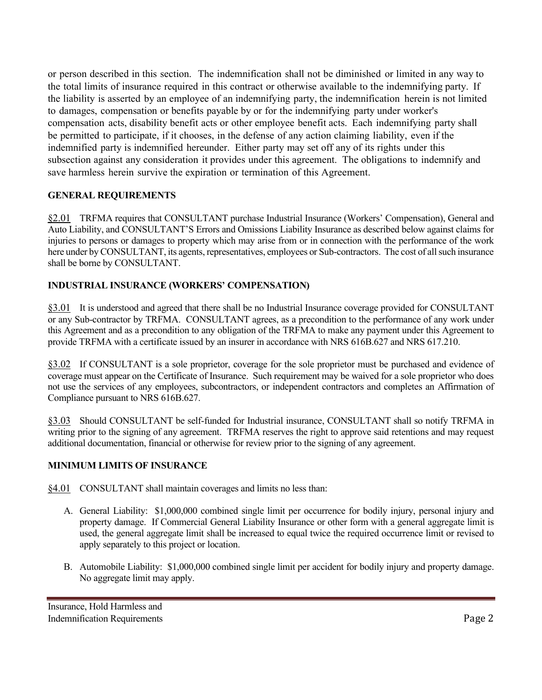or person described in this section. The indemnification shall not be diminished or limited in any way to the total limits of insurance required in this contract or otherwise available to the indemnifying party. If the liability is asserted by an employee of an indemnifying party, the indemnification herein is not limited to damages, compensation or benefits payable by or for the indemnifying party under worker's compensation acts, disability benefit acts or other employee benefit acts. Each indemnifying party shall be permitted to participate, if it chooses, in the defense of any action claiming liability, even if the indemnified party is indemnified hereunder. Either party may set off any of its rights under this subsection against any consideration it provides under this agreement. The obligations to indemnify and save harmless herein survive the expiration or termination of this Agreement.

## **GENERAL REQUIREMENTS**

§2.01 TRFMA requires that CONSULTANT purchase Industrial Insurance (Workers' Compensation), General and Auto Liability, and CONSULTANT'S Errors and Omissions Liability Insurance as described below against claims for injuries to persons or damages to property which may arise from or in connection with the performance of the work here under by CONSULTANT, its agents, representatives, employees or Sub-contractors. The cost of all such insurance shall be borne by CONSULTANT.

# **INDUSTRIAL INSURANCE (WORKERS' COMPENSATION)**

§3.01 It is understood and agreed that there shall be no Industrial Insurance coverage provided for CONSULTANT or any Sub-contractor by TRFMA. CONSULTANT agrees, as a precondition to the performance of any work under this Agreement and as a precondition to any obligation of the TRFMA to make any payment under this Agreement to provide TRFMA with a certificate issued by an insurer in accordance with NRS 616B.627 and NRS 617.210.

§3.02 If CONSULTANT is a sole proprietor, coverage for the sole proprietor must be purchased and evidence of coverage must appear on the Certificate of Insurance. Such requirement may be waived for a sole proprietor who does not use the services of any employees, subcontractors, or independent contractors and completes an Affirmation of Compliance pursuant to NRS 616B.627.

§3.03 Should CONSULTANT be self-funded for Industrial insurance, CONSULTANT shall so notify TRFMA in writing prior to the signing of any agreement. TRFMA reserves the right to approve said retentions and may request additional documentation, financial or otherwise for review prior to the signing of any agreement.

## **MINIMUM LIMITS OF INSURANCE**

§4.01 CONSULTANT shall maintain coverages and limits no less than:

- A. General Liability: \$1,000,000 combined single limit per occurrence for bodily injury, personal injury and property damage. If Commercial General Liability Insurance or other form with a general aggregate limit is used, the general aggregate limit shall be increased to equal twice the required occurrence limit or revised to apply separately to this project or location.
- B. Automobile Liability: \$1,000,000 combined single limit per accident for bodily injury and property damage. No aggregate limit may apply.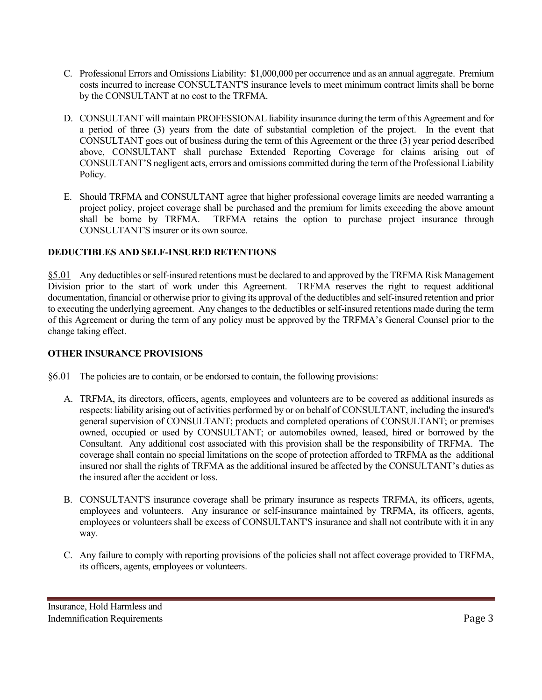- C. Professional Errors and Omissions Liability: \$1,000,000 per occurrence and as an annual aggregate. Premium costs incurred to increase CONSULTANT'S insurance levels to meet minimum contract limits shall be borne by the CONSULTANT at no cost to the TRFMA.
- D. CONSULTANT will maintain PROFESSIONAL liability insurance during the term of this Agreement and for a period of three (3) years from the date of substantial completion of the project. In the event that CONSULTANT goes out of business during the term of this Agreement or the three (3) year period described above, CONSULTANT shall purchase Extended Reporting Coverage for claims arising out of CONSULTANT'S negligent acts, errors and omissions committed during the term of the Professional Liability Policy.
- E. Should TRFMA and CONSULTANT agree that higher professional coverage limits are needed warranting a project policy, project coverage shall be purchased and the premium for limits exceeding the above amount shall be borne by TRFMA. TRFMA retains the option to purchase project insurance through TRFMA retains the option to purchase project insurance through CONSULTANT'S insurer or its own source.

## **DEDUCTIBLES AND SELF-INSURED RETENTIONS**

§5.01 Any deductibles or self-insured retentions must be declared to and approved by the TRFMA Risk Management Division prior to the start of work under this Agreement. TRFMA reserves the right to request additional documentation, financial or otherwise prior to giving its approval of the deductibles and self-insured retention and prior to executing the underlying agreement. Any changes to the deductibles or self-insured retentions made during the term of this Agreement or during the term of any policy must be approved by the TRFMA's General Counsel prior to the change taking effect.

## **OTHER INSURANCE PROVISIONS**

§6.01 The policies are to contain, or be endorsed to contain, the following provisions:

- A. TRFMA, its directors, officers, agents, employees and volunteers are to be covered as additional insureds as respects: liability arising out of activities performed by or on behalf of CONSULTANT, including the insured's general supervision of CONSULTANT; products and completed operations of CONSULTANT; or premises owned, occupied or used by CONSULTANT; or automobiles owned, leased, hired or borrowed by the Consultant. Any additional cost associated with this provision shall be the responsibility of TRFMA. The coverage shall contain no special limitations on the scope of protection afforded to TRFMA as the additional insured nor shall the rights of TRFMA as the additional insured be affected by the CONSULTANT's duties as the insured after the accident or loss.
- B. CONSULTANT'S insurance coverage shall be primary insurance as respects TRFMA, its officers, agents, employees and volunteers. Any insurance or self-insurance maintained by TRFMA, its officers, agents, employees or volunteers shall be excess of CONSULTANT'S insurance and shall not contribute with it in any way.
- C. Any failure to comply with reporting provisions of the policies shall not affect coverage provided to TRFMA, its officers, agents, employees or volunteers.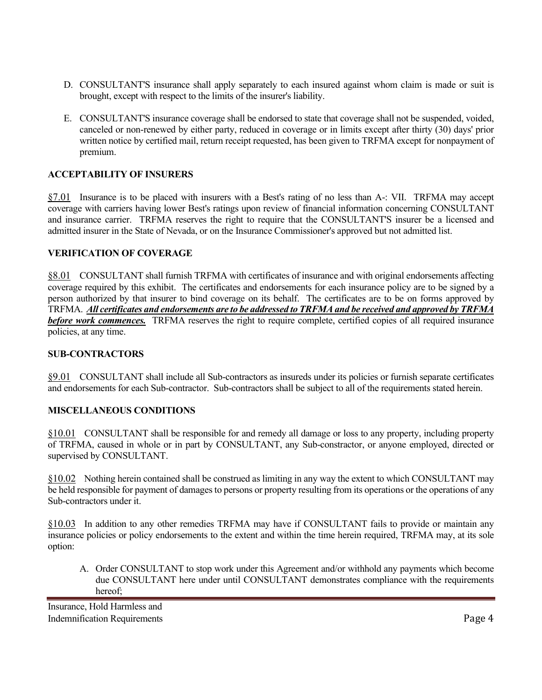- D. CONSULTANT'S insurance shall apply separately to each insured against whom claim is made or suit is brought, except with respect to the limits of the insurer's liability.
- E. CONSULTANT'S insurance coverage shall be endorsed to state that coverage shall not be suspended, voided, canceled or non-renewed by either party, reduced in coverage or in limits except after thirty (30) days' prior written notice by certified mail, return receipt requested, has been given to TRFMA except for nonpayment of premium.

## **ACCEPTABILITY OF INSURERS**

§7.01 Insurance is to be placed with insurers with a Best's rating of no less than A-: VII. TRFMA may accept coverage with carriers having lower Best's ratings upon review of financial information concerning CONSULTANT and insurance carrier. TRFMA reserves the right to require that the CONSULTANT'S insurer be a licensed and admitted insurer in the State of Nevada, or on the Insurance Commissioner's approved but not admitted list.

## **VERIFICATION OF COVERAGE**

§8.01 CONSULTANT shall furnish TRFMA with certificates of insurance and with original endorsements affecting coverage required by this exhibit. The certificates and endorsements for each insurance policy are to be signed by a person authorized by that insurer to bind coverage on its behalf. The certificates are to be on forms approved by TRFMA. *All certificates and endorsements are to be addressed to TRFMA and be received and approved by TRFMA before work commences.* TRFMA reserves the right to require complete, certified copies of all required insurance policies, at any time.

#### **SUB-CONTRACTORS**

§9.01 CONSULTANT shall include all Sub-contractors as insureds under its policies or furnish separate certificates and endorsements for each Sub-contractor. Sub-contractors shall be subject to all of the requirements stated herein.

## **MISCELLANEOUS CONDITIONS**

§10.01 CONSULTANT shall be responsible for and remedy all damage or loss to any property, including property of TRFMA, caused in whole or in part by CONSULTANT, any Sub-constractor, or anyone employed, directed or supervised by CONSULTANT.

§10.02 Nothing herein contained shall be construed as limiting in any way the extent to which CONSULTANT may be held responsible for payment of damages to persons or property resulting from its operations or the operations of any Sub-contractors under it.

§10.03 In addition to any other remedies TRFMA may have if CONSULTANT fails to provide or maintain any insurance policies or policy endorsements to the extent and within the time herein required, TRFMA may, at its sole option:

A. Order CONSULTANT to stop work under this Agreement and/or withhold any payments which become due CONSULTANT here under until CONSULTANT demonstrates compliance with the requirements hereof;